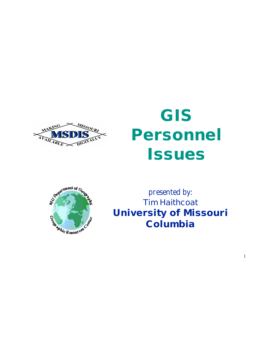

# **GIS Personnel Issues**



*presented by:* **Tim Haithcoat University of Missouri Columbia**

1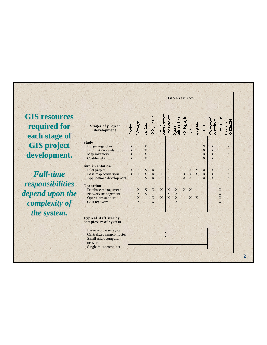**GIS resources required for each stage of GIS project development.**

*Full-time responsibilities depend upon the complexity of the system.*

南山区族

| <b>GIS Resources</b> |                          |                               |                          |                          |                                     |                            |                     |                       |        |                      |                          |                  |                                                                                          |
|----------------------|--------------------------|-------------------------------|--------------------------|--------------------------|-------------------------------------|----------------------------|---------------------|-----------------------|--------|----------------------|--------------------------|------------------|------------------------------------------------------------------------------------------|
| Leader               | Manager                  | Analyst                       | GIS processor            |                          |                                     | System<br>administrator    | Cartographer        |                       |        | End user             |                          |                  | Steering<br>committee                                                                    |
| X<br>X<br>X<br>X     |                          | X<br>X<br>X<br>$\overline{X}$ |                          |                          |                                     |                            |                     |                       |        | X<br>X<br>X<br>X     | X<br>X<br>X<br>X         |                  | X<br>$\overline{X}$<br>$\overline{X}$<br>$\overline{X}$                                  |
| X<br>$\overline{X}$  | X<br>X<br>$\overline{X}$ | X<br>X<br>X                   | X<br>X<br>$\overline{X}$ | X<br>X<br>$\overline{X}$ | $\mathbf X$<br>X                    |                            | X<br>$\overline{X}$ | X<br>$\mathbf X$<br>X | X<br>X | X<br>X<br>X          | X<br>X<br>$\overline{X}$ |                  | X<br>X<br>$\overline{X}$                                                                 |
|                      | X<br>X<br>X<br>X         | X<br>X                        | X<br>X<br>X              | X<br>X                   | $\boldsymbol{\mathrm{X}}$<br>X<br>X | $\mathbf X$<br>X<br>X<br>X | X                   | X<br>X                | X      |                      |                          | X<br>X<br>X<br>X |                                                                                          |
|                      |                          |                               |                          |                          |                                     |                            |                     |                       |        |                      |                          |                  |                                                                                          |
|                      |                          |                               |                          |                          |                                     | Database<br>administrator  | Programmer          |                       |        | Drafter<br>Digitizer |                          |                  | $\begin{array}{c} \text{Contrator}^{\prime}\\ \text{constant} \end{array}$<br>User group |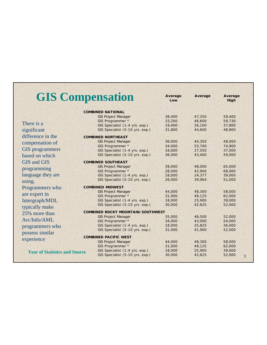|                                      | <b>GIS Compensation</b>                                           |                  |                  | Average<br>High |  |
|--------------------------------------|-------------------------------------------------------------------|------------------|------------------|-----------------|--|
|                                      |                                                                   |                  |                  |                 |  |
|                                      | <b>COMBINED NATIONAL</b>                                          |                  |                  |                 |  |
|                                      | <b>GIS Project Manager</b>                                        | 38,400           | 47,250           | 59,400          |  |
| There is a                           | GIS Programmer *                                                  | 33,200           | 46,600           | 59,730          |  |
|                                      | GIS Specialist (1-4 yrs. exp.)                                    | 19,400           | 26,100           | 37,800          |  |
| significant                          | GIS Specialist (5-10 yrs. exp.)                                   | 31,800           | 44,600           | 48,800          |  |
| difference in the                    | <b>COMBINED NORTHEAST</b>                                         |                  |                  |                 |  |
| compensation of                      | <b>GIS Project Manager</b>                                        | 36,000           | 44,350           | 48,000          |  |
|                                      | GIS Programmer *                                                  | 34,000           | 53,700           | 74,900          |  |
| <b>GIS</b> programmers               | GIS Specialist (1-4 yrs. exp.)                                    | 18,000           | 27,550           | 37,000          |  |
| based on which                       | GIS Specialist (5-10 yrs. exp.)                                   | 36,000           | 43,400           | 59,000          |  |
| <b>GIS</b> and <b>GIS</b>            | <b>COMBINED SOUTHEAST</b>                                         |                  |                  |                 |  |
|                                      | <b>GIS Project Manager</b>                                        | 39,000           | 48,000           | 65,000          |  |
| programming                          | GIS Programmer *                                                  | 28,000           | 42,900           | 68,000          |  |
| language they are                    | GIS Specialist (1-4 yrs. exp.)                                    | 18,000           | 24,377           | 39,000          |  |
| using.                               | GIS Specialist (5-10 yrs. exp.)                                   | 26,000           | 39,964           | 51,000          |  |
|                                      | <b>COMBINED MIDWEST</b>                                           |                  |                  |                 |  |
| Programmers who                      | <b>GIS Project Manager</b>                                        | 44,000           | 48,300           | 58,000          |  |
| are expert in                        | GIS Programmer *                                                  | 31,000           | 48,125           | 62,000          |  |
| Intergraph/MDL                       | GIS Specialist (1-4 yrs. exp.)                                    | 18,000           | 25,900           | 39,000          |  |
|                                      | GIS Specialist (5-10 yrs. exp.)                                   | 30,000           | 42,625           | 52,000          |  |
| typically make                       |                                                                   |                  |                  |                 |  |
| 25% more than                        | <b>COMBINED ROCKY MOUNTAIN/SOUTHWEST</b>                          |                  |                  | 52,000          |  |
| Arc/Info/AML                         | <b>GIS Project Manager</b><br>GIS Programmer *                    | 35,000<br>34,000 | 46,500<br>43,000 | 54,000          |  |
|                                      | GIS Specialist (1-4 yrs. exp.)                                    | 18,000           | 25,825           | 36,000          |  |
| programmers who                      | GIS Specialist (5-10 yrs. exp.)                                   | 31,000           | 41,900           | 52,000          |  |
| possess similar                      |                                                                   |                  |                  |                 |  |
| experience                           | <b>COMBINED PACIFIC WEST</b>                                      |                  |                  |                 |  |
|                                      | <b>GIS Project Manager</b>                                        | 44,000           | 48,300           | 58,000          |  |
|                                      | GIS Programmer *                                                  | 31,000           | 48,125           | 62,000          |  |
| <b>Year of Statistics and Source</b> | GIS Specialist (1-4 yrs. exp.)<br>GIS Specialist (5-10 yrs. exp.) | 18,000<br>30,000 | 25,900           | 39,000          |  |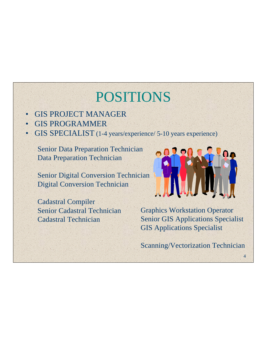# POSITIONS

- GIS PROJECT MANAGER
- **GIS PROGRAMMER**
- GIS SPECIALIST (1-4 years/experience/ 5-10 years experience)

Senior Data Preparation Technician Data Preparation Technician

Senior Digital Conversion Technician Digital Conversion Technician

Cadastral Compiler Senior Cadastral Technician Cadastral Technician



Graphics Workstation Operator Senior GIS Applications Specialist GIS Applications Specialist

Scanning/Vectorization Technician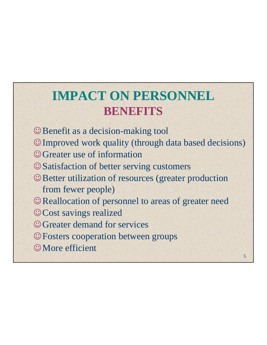### **IMPACT ON PERSONNEL BENEFITS**

- Benefit as a decision-making tool
- Improved work quality (through data based decisions)
- Greater use of information
- Satisfaction of better serving customers
- Better utilization of resources (greater production from fewer people)
- Reallocation of personnel to areas of greater need
- © Cost savings realized
- © Greater demand for services
- Fosters cooperation between groups
- More efficient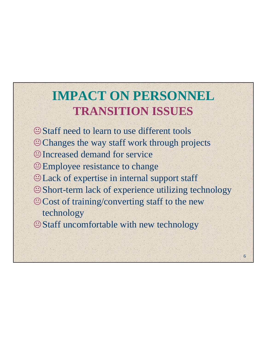### **IMPACT ON PERSONNEL TRANSITION ISSUES**

- Staff need to learn to use different tools
- Changes the way staff work through projects
- Increased demand for service
- Employee resistance to change
- Lack of expertise in internal support staff
- Short-term lack of experience utilizing technology
- Cost of training/converting staff to the new technology
- Staff uncomfortable with new technology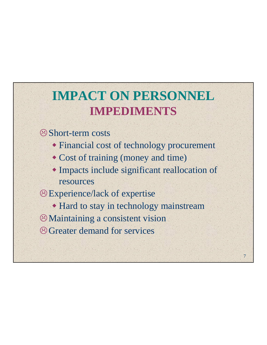### **IMPACT ON PERSONNEL IMPEDIMENTS**

#### Short-term costs

- Financial cost of technology procurement
- Cost of training (money and time)
- Impacts include significant reallocation of resources

#### Experience/lack of expertise

- Hard to stay in technology mainstream
- Maintaining a consistent vision
- Greater demand for services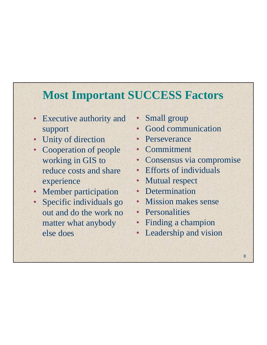### **Most Important SUCCESS Factors**

- Executive authority and support
- Unity of direction
- Cooperation of people working in GIS to reduce costs and share experience
- **Member participation**
- Specific individuals go out and do the work no matter what anybody else does
- Small group
- Good communication
- **Perseverance**
- **Commitment**
- Consensus via compromise
- Efforts of individuals
- **Mutual respect**
- Determination
- Mission makes sense
- Personalities
- Finding a champion
- Leadership and vision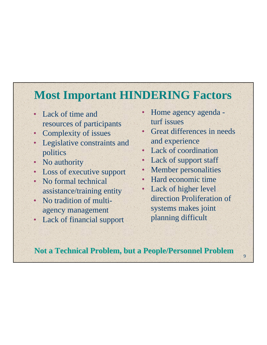### **Most Important HINDERING Factors**

- Lack of time and resources of participants
- Complexity of issues
- Legislative constraints and politics
- No authority
- **Loss of executive support**
- No formal technical assistance/training entity
- No tradition of multiagency management
- Lack of financial support
- Home agency agenda turf issues
- Great differences in needs and experience
- Lack of coordination
- Lack of support staff
- Member personalities
- Hard economic time
- Lack of higher level direction Proliferation of systems makes joint planning difficult

9

**Not a Technical Problem, but a People/Personnel Problem**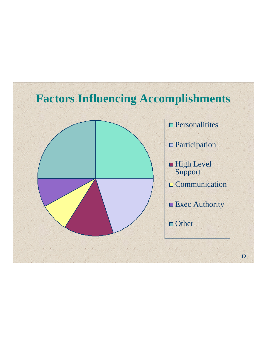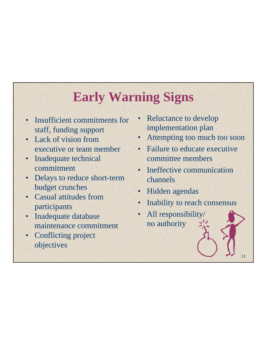### **Early Warning Signs**

- Insufficient commitments for staff, funding support
- Lack of vision from executive or team member
- Inadequate technical commitment
- Delays to reduce short-term budget crunches
- Casual attitudes from participants
- Inadequate database maintenance commitment
- **Conflicting project** objectives
- Reluctance to develop implementation plan
- Attempting too much too soon
- Failure to educate executive committee members
- Ineffective communication channels
- Hidden agendas
- Inability to reach consensus

11

• All responsibility/ no authority